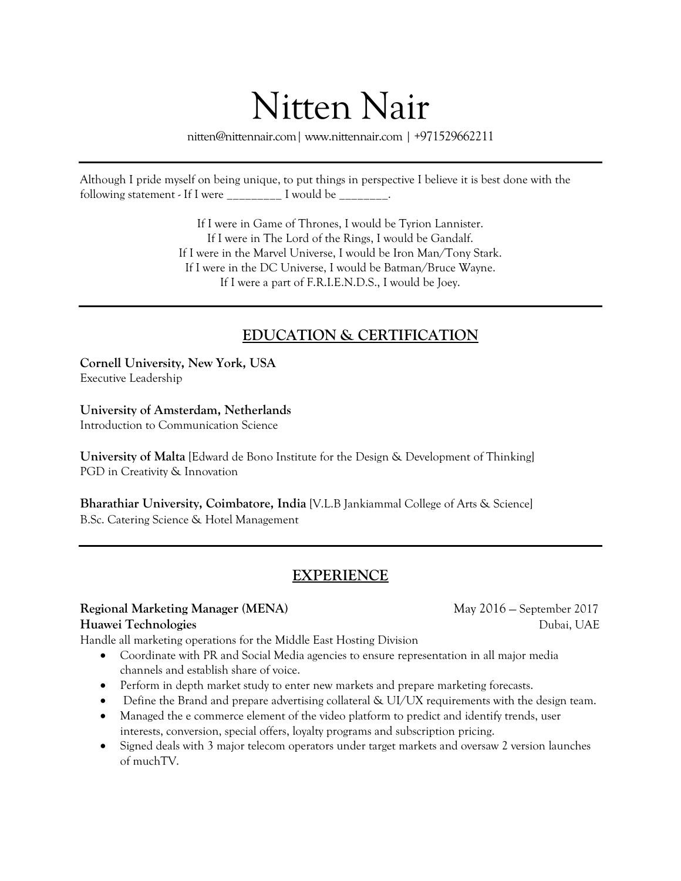# Nitten Nair

nitten@nittennair.com| www.nittennair.com | +971529662211

Although I pride myself on being unique, to put things in perspective I believe it is best done with the following statement - If I were  $\frac{1}{\sqrt{1-\frac{1}{n}}}$  I would be  $\frac{1}{\sqrt{1-\frac{1}{n}}}$ .

> If I were in Game of Thrones, I would be Tyrion Lannister. If I were in The Lord of the Rings, I would be Gandalf. If I were in the Marvel Universe, I would be Iron Man/Tony Stark. If I were in the DC Universe, I would be Batman/Bruce Wayne. If I were a part of F.R.I.E.N.D.S., I would be Joey.

# **EDUCATION & CERTIFICATION**

**Cornell University, New York, USA** Executive Leadership

# **University of Amsterdam, Netherlands**

Introduction to Communication Science

**University of Malta** [Edward de Bono Institute for the Design & Development of Thinking] PGD in Creativity & Innovation

**Bharathiar University, Coimbatore, India** [V.L.B Jankiammal College of Arts & Science] B.Sc. Catering Science & Hotel Management

# **EXPERIENCE**

### **Regional Marketing Manager (MENA)** May 2016 — September 2017

Handle all marketing operations for the Middle East Hosting Division

- Coordinate with PR and Social Media agencies to ensure representation in all major media channels and establish share of voice.
- Perform in depth market study to enter new markets and prepare marketing forecasts.
- Define the Brand and prepare advertising collateral & UI/UX requirements with the design team.
- Managed the e commerce element of the video platform to predict and identify trends, user interests, conversion, special offers, loyalty programs and subscription pricing.
- Signed deals with 3 major telecom operators under target markets and oversaw 2 version launches of muchTV.

**Huawei Technologies** *Dubai, UAE*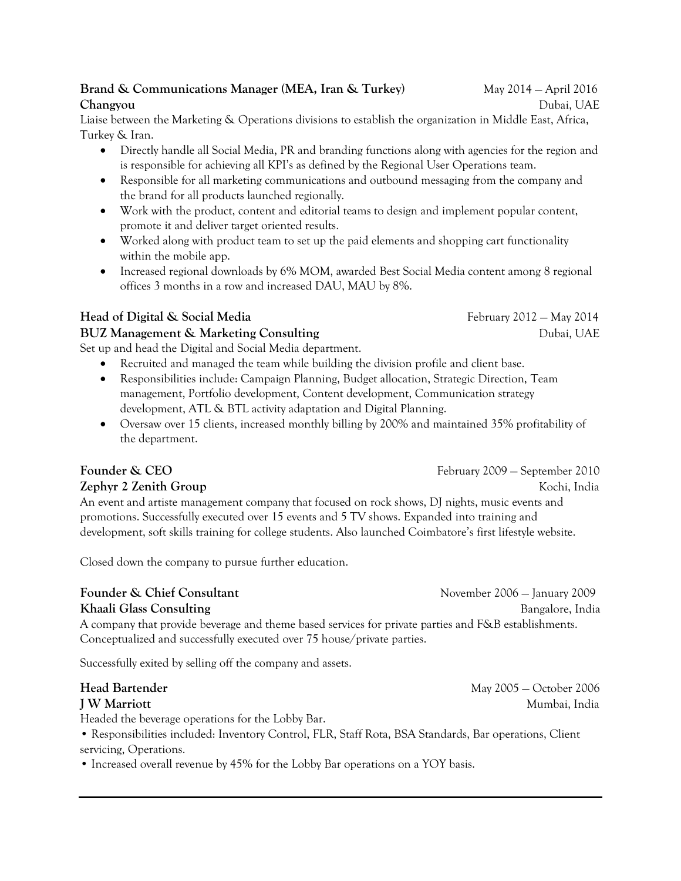# **Brand & Communications Manager (MEA, Iran & Turkey)** May 2014 – April 2016 **Changyou** Dubai, UAE

Liaise between the Marketing & Operations divisions to establish the organization in Middle East, Africa, Turkey & Iran.

- Directly handle all Social Media, PR and branding functions along with agencies for the region and is responsible for achieving all KPI's as defined by the Regional User Operations team.
- Responsible for all marketing communications and outbound messaging from the company and the brand for all products launched regionally.
- Work with the product, content and editorial teams to design and implement popular content, promote it and deliver target oriented results.
- Worked along with product team to set up the paid elements and shopping cart functionality within the mobile app.
- Increased regional downloads by 6% MOM, awarded Best Social Media content among 8 regional offices 3 months in a row and increased DAU, MAU by 8%.

# **Head of Digital & Social Media February 2012 – May 2014 February 2012 – May 2014**

# **BUZ Management & Marketing Consulting**   $\bullet$  **Dubai, UAE** Dubai, UAE

Set up and head the Digital and Social Media department.

- Recruited and managed the team while building the division profile and client base.
- Responsibilities include: Campaign Planning, Budget allocation, Strategic Direction, Team management, Portfolio development, Content development, Communication strategy development, ATL & BTL activity adaptation and Digital Planning.
- Oversaw over 15 clients, increased monthly billing by 200% and maintained 35% profitability of the department.

# **Founder & CEO** February 2009 – September 2010

## **Zephyr 2 Zenith Group** *Company Company Kochi, India Kochi, India*

An event and artiste management company that focused on rock shows, DJ nights, music events and promotions. Successfully executed over 15 events and 5 TV shows. Expanded into training and development, soft skills training for college students. Also launched Coimbatore's first lifestyle website.

Closed down the company to pursue further education.

# **Founder & Chief Consultant November 2006** – January 2009

**Khaali Glass Consulting Bangalore, India** A company that provide beverage and theme based services for private parties and F&B establishments. Conceptualized and successfully executed over 75 house/private parties.

Successfully exited by selling off the company and assets.

Headed the beverage operations for the Lobby Bar.

• Responsibilities included: Inventory Control, FLR, Staff Rota, BSA Standards, Bar operations, Client servicing, Operations.

• Increased overall revenue by 45% for the Lobby Bar operations on a YOY basis.

**Head Bartender** May 2005 — October 2006 **J W Marriott** Mumbai, India